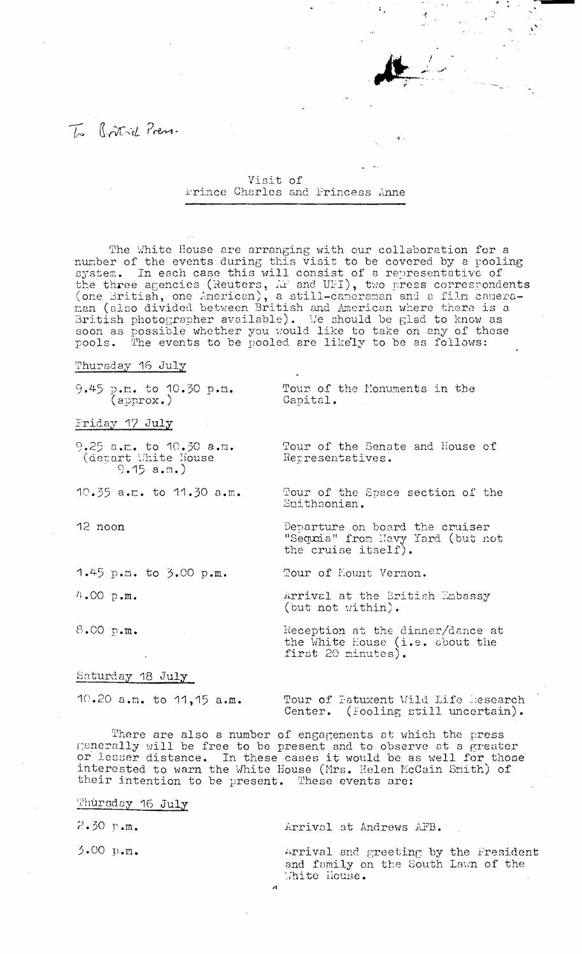## To Rothill Press.

Visit of Frince Charles and Princess Anne

The White House are arranging with our collaboration for a number of the events during this visit to be covered by a pooling<br>system. In each case this will consist of a representative of<br>the three agencies (Reuters,  $\hat{H}$  and UFI), two press correspondents (one British, one American), a still-cameraman and a film camera-<br>man (also divided between British and American where there is a British photographer available). We should be glad to know as soon as possible whether you would like to take on any of these pools. The events to be pooled are likely to be as follows:

Thursday 16 July

9.45 p.m. to  $10.30$  p.m.<br>(approx.)

Friday 17 July

9.25  $a.m.$  to  $10.30 a.m.$  (depart White House  $9.15 a.m.$ )

 $10.35$  a.m. to  $11.30$  a.m.

12 noon

1.45 p.m. to 3.00 p.m.

 $4.00 p.m.$ 

8.00 p.m.

Saturday 18 July

10.20 a.m. to 11,15 a.m.

Tour of the Monuments in the Capital.

Tour of the Senate and House of Representatives.

Tour of the Space section of the Smithsonian.

Departure on board the cruiser "Sequia" from Navy Yard (but not<br>the cruise itself).

Tour of Mount Vernon.

Arrival at the British Embassy (but not within).

Reception at the dinner/dance at<br>the White House (i.e. about the<br>first 20 minutes).

Tour of Fatuxent Wild Life Research Center. (Fooling still uncertain).

There are also a number of engagements at which the press Renerally will be free to be present and to observe at a greater<br>or lesser distance. In these cases it would be as well for those<br>interested to warn the White House (Mrs. Helen McCain Smith) of their intention to be present. These events are:

Thursday 16 July

 $2.30$  p.m.

3.00 p.m.

Arrival at Andrews AFB.

Arrival and greeting by the Fresident and family on the South Lawn of the White House.